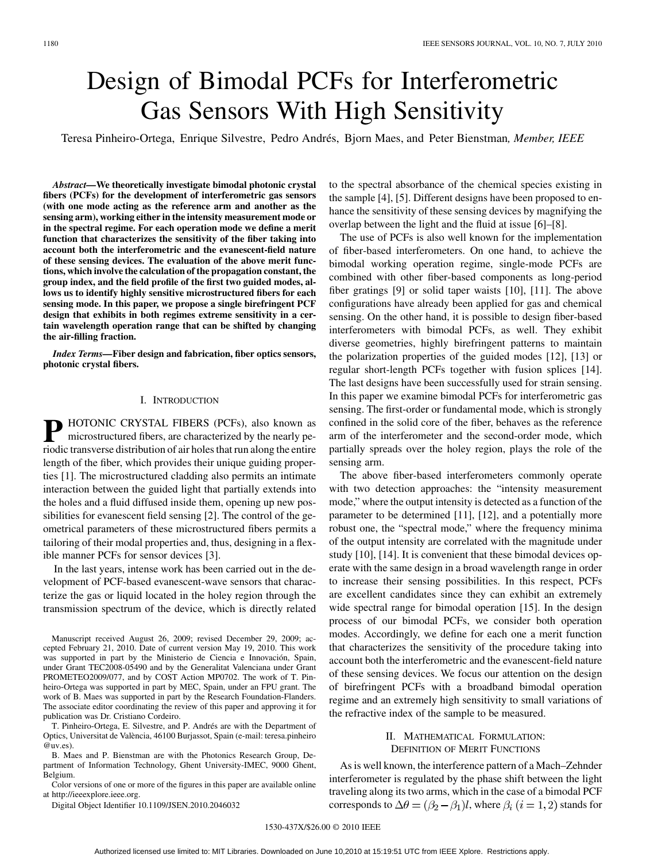# Design of Bimodal PCFs for Interferometric Gas Sensors With High Sensitivity

Teresa Pinheiro-Ortega, Enrique Silvestre, Pedro Andrés, Bjorn Maes, and Peter Bienstman*, Member, IEEE*

*Abstract—***We theoretically investigate bimodal photonic crystal fibers (PCFs) for the development of interferometric gas sensors (with one mode acting as the reference arm and another as the sensing arm), working either in the intensity measurement mode or in the spectral regime. For each operation mode we define a merit function that characterizes the sensitivity of the fiber taking into account both the interferometric and the evanescent-field nature of these sensing devices. The evaluation of the above merit functions, which involve the calculation of the propagation constant, the group index, and the field profile of the first two guided modes, allows us to identify highly sensitive microstructured fibers for each sensing mode. In this paper, we propose a single birefringent PCF design that exhibits in both regimes extreme sensitivity in a certain wavelength operation range that can be shifted by changing the air-filling fraction.**

*Index Terms—***Fiber design and fabrication, fiber optics sensors, photonic crystal fibers.**

### I. INTRODUCTION

**P** HOTONIC CRYSTAL FIBERS (PCFs), also known as microstructural fibers control microstructured fibers, are characterized by the nearly periodic transverse distribution of air holes that run along the entire length of the fiber, which provides their unique guiding properties [1]. The microstructured cladding also permits an intimate interaction between the guided light that partially extends into the holes and a fluid diffused inside them, opening up new possibilities for evanescent field sensing [2]. The control of the geometrical parameters of these microstructured fibers permits a tailoring of their modal properties and, thus, designing in a flexible manner PCFs for sensor devices [3].

In the last years, intense work has been carried out in the development of PCF-based evanescent-wave sensors that characterize the gas or liquid located in the holey region through the transmission spectrum of the device, which is directly related

Manuscript received August 26, 2009; revised December 29, 2009; accepted February 21, 2010. Date of current version May 19, 2010. This work was supported in part by the Ministerio de Ciencia e Innovación, Spain, under Grant TEC2008-05490 and by the Generalitat Valenciana under Grant PROMETEO2009/077, and by COST Action MP0702. The work of T. Pinheiro-Ortega was supported in part by MEC, Spain, under an FPU grant. The work of B. Maes was supported in part by the Research Foundation-Flanders. The associate editor coordinating the review of this paper and approving it for publication was Dr. Cristiano Cordeiro.

T. Pinheiro-Ortega, E. Silvestre, and P. Andrés are with the Department of Optics, Universitat de València, 46100 Burjassot, Spain (e-mail: teresa.pinheiro @uv.es).

B. Maes and P. Bienstman are with the Photonics Research Group, Department of Information Technology, Ghent University-IMEC, 9000 Ghent, Belgium.

Color versions of one or more of the figures in this paper are available online at http://ieeexplore.ieee.org.

Digital Object Identifier 10.1109/JSEN.2010.2046032

to the spectral absorbance of the chemical species existing in the sample [4], [5]. Different designs have been proposed to enhance the sensitivity of these sensing devices by magnifying the overlap between the light and the fluid at issue [6]–[8].

The use of PCFs is also well known for the implementation of fiber-based interferometers. On one hand, to achieve the bimodal working operation regime, single-mode PCFs are combined with other fiber-based components as long-period fiber gratings [9] or solid taper waists [10], [11]. The above configurations have already been applied for gas and chemical sensing. On the other hand, it is possible to design fiber-based interferometers with bimodal PCFs, as well. They exhibit diverse geometries, highly birefringent patterns to maintain the polarization properties of the guided modes [12], [13] or regular short-length PCFs together with fusion splices [14]. The last designs have been successfully used for strain sensing. In this paper we examine bimodal PCFs for interferometric gas sensing. The first-order or fundamental mode, which is strongly confined in the solid core of the fiber, behaves as the reference arm of the interferometer and the second-order mode, which partially spreads over the holey region, plays the role of the sensing arm.

The above fiber-based interferometers commonly operate with two detection approaches: the "intensity measurement mode," where the output intensity is detected as a function of the parameter to be determined [11], [12], and a potentially more robust one, the "spectral mode," where the frequency minima of the output intensity are correlated with the magnitude under study [10], [14]. It is convenient that these bimodal devices operate with the same design in a broad wavelength range in order to increase their sensing possibilities. In this respect, PCFs are excellent candidates since they can exhibit an extremely wide spectral range for bimodal operation [15]. In the design process of our bimodal PCFs, we consider both operation modes. Accordingly, we define for each one a merit function that characterizes the sensitivity of the procedure taking into account both the interferometric and the evanescent-field nature of these sensing devices. We focus our attention on the design of birefringent PCFs with a broadband bimodal operation regime and an extremely high sensitivity to small variations of the refractive index of the sample to be measured.

## II. MATHEMATICAL FORMULATION: DEFINITION OF MERIT FUNCTIONS

As is well known, the interference pattern of a Mach–Zehnder interferometer is regulated by the phase shift between the light traveling along its two arms, which in the case of a bimodal PCF corresponds to  $\Delta \theta = (\beta_2 - \beta_1)l$ , where  $\beta_i$   $(i = 1, 2)$  stands for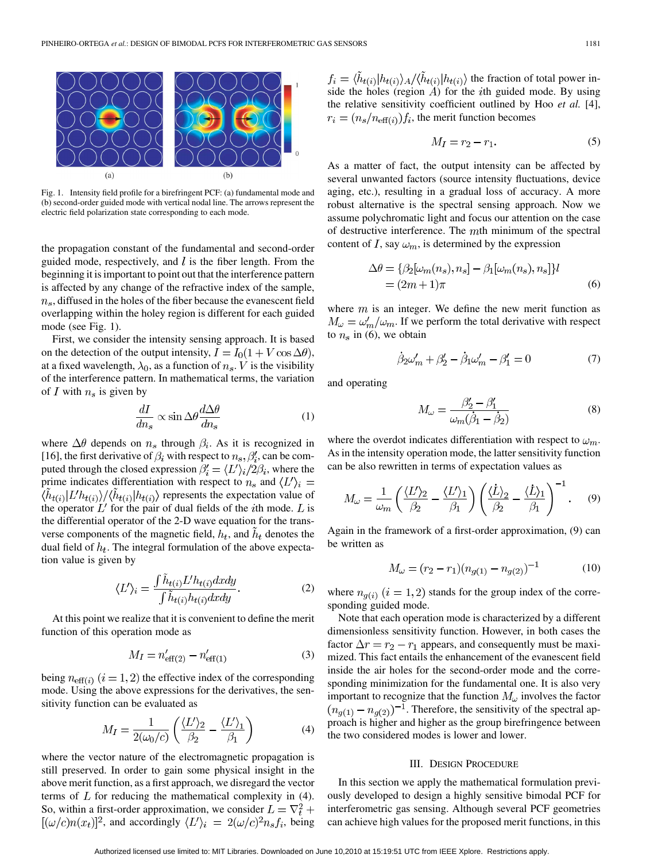

Fig. 1. Intensity field profile for a birefringent PCF: (a) fundamental mode and (b) second-order guided mode with vertical nodal line. The arrows represent the electric field polarization state corresponding to each mode.

the propagation constant of the fundamental and second-order guided mode, respectively, and  $l$  is the fiber length. From the beginning it is important to point out that the interference pattern is affected by any change of the refractive index of the sample,  $n_s$ , diffused in the holes of the fiber because the evanescent field overlapping within the holey region is different for each guided mode (see Fig. 1).

First, we consider the intensity sensing approach. It is based on the detection of the output intensity,  $I = I_0(1 + V \cos \Delta \theta)$ , at a fixed wavelength,  $\lambda_0$ , as a function of  $n_s$ . V is the visibility of the interference pattern. In mathematical terms, the variation of I with  $n_s$  is given by

$$
\frac{dI}{dn_s} \propto \sin \Delta \theta \frac{d\Delta \theta}{dn_s} \tag{1}
$$

where  $\Delta\theta$  depends on  $n_s$  through  $\beta_i$ . As it is recognized in [16], the first derivative of  $\beta_i$  with respect to  $n_s, \beta'_i$ , can be computed through the closed expression  $\beta_i' = \langle L' \rangle_i / 2\beta_i$ , where the prime indicates differentiation with respect to  $n_s$  and  $\langle L' \rangle_i =$  $\langle h_{t(i)}|L'h_{t(i)}\rangle/\langle h_{t(i)}|h_{t(i)}\rangle$  represents the expectation value of the operator  $L'$  for the pair of dual fields of the *i*th mode.  $L$  is the differential operator of the 2-D wave equation for the transverse components of the magnetic field,  $h_t$ , and  $h_t$  denotes the dual field of  $h_t$ . The integral formulation of the above expectation value is given by

$$
\langle L' \rangle_i = \frac{\int \tilde{h}_{t(i)} L' h_{t(i)} dx dy}{\int \tilde{h}_{t(i)} h_{t(i)} dx dy}.
$$
 (2)

At this point we realize that it is convenient to define the merit function of this operation mode as

$$
M_I = n'_{\text{eff}(2)} - n'_{\text{eff}(1)}\tag{3}
$$

being  $n_{\text{eff}(i)}$   $(i = 1, 2)$  the effective index of the corresponding mode. Using the above expressions for the derivatives, the sensitivity function can be evaluated as

$$
M_I = \frac{1}{2(\omega_0/c)} \left( \frac{\langle L' \rangle_2}{\beta_2} - \frac{\langle L' \rangle_1}{\beta_1} \right) \tag{4}
$$

where the vector nature of the electromagnetic propagation is still preserved. In order to gain some physical insight in the above merit function, as a first approach, we disregard the vector terms of  $L$  for reducing the mathematical complexity in (4). So, within a first-order approximation, we consider  $L = \nabla_t^2 +$  $[(\omega/c)n(x_t)]^2$ , and accordingly  $\langle L'\rangle_i = 2(\omega/c)^2 n_s f_i$ , being

 $f_i = \langle \tilde{h}_{t(i)} | h_{t(i)} \rangle_A / \langle \tilde{h}_{t(i)} | h_{t(i)} \rangle$  the fraction of total power inside the holes (region  $\overrightarrow{A}$ ) for the *i*th guided mode. By using the relative sensitivity coefficient outlined by Hoo *et al.* [4],  $r_i = (n_s/n_{\text{eff}(i)})f_i$ , the merit function becomes

$$
M_I = r_2 - r_1. \tag{5}
$$

As a matter of fact, the output intensity can be affected by several unwanted factors (source intensity fluctuations, device aging, etc.), resulting in a gradual loss of accuracy. A more robust alternative is the spectral sensing approach. Now we assume polychromatic light and focus our attention on the case of destructive interference. The  $m$ th minimum of the spectral content of I, say  $\omega_m$ , is determined by the expression

$$
\Delta \theta = \{ \beta_2[\omega_m(n_s), n_s] - \beta_1[\omega_m(n_s), n_s] \} l
$$
  
=  $(2m+1)\pi$  (6)

where  $m$  is an integer. We define the new merit function as  $M_{\omega} = \omega'_{m}/\omega_{m}$ . If we perform the total derivative with respect to  $n_s$  in (6), we obtain

$$
\dot{\beta}_2 \omega'_m + \beta'_2 - \dot{\beta}_1 \omega'_m - \beta'_1 = 0 \tag{7}
$$

and operating

$$
M_{\omega} = \frac{\beta_2' - \beta_1'}{\omega_m(\dot{\beta}_1 - \dot{\beta}_2)}\tag{8}
$$

where the overdot indicates differentiation with respect to  $\omega_m$ . As in the intensity operation mode, the latter sensitivity function can be also rewritten in terms of expectation values as

$$
M_{\omega} = \frac{1}{\omega_m} \left( \frac{\langle L' \rangle_2}{\beta_2} - \frac{\langle L' \rangle_1}{\beta_1} \right) \left( \frac{\langle \dot{L} \rangle_2}{\beta_2} - \frac{\langle \dot{L} \rangle_1}{\beta_1} \right)^{-1} . \tag{9}
$$

Again in the framework of a first-order approximation, (9) can be written as

$$
M_{\omega} = (r_2 - r_1)(n_{g(1)} - n_{g(2)})^{-1}
$$
 (10)

where  $n_{g(i)}$   $(i = 1, 2)$  stands for the group index of the corresponding guided mode.

Note that each operation mode is characterized by a different dimensionless sensitivity function. However, in both cases the factor  $\Delta r = r_2 - r_1$  appears, and consequently must be maximized. This fact entails the enhancement of the evanescent field inside the air holes for the second-order mode and the corresponding minimization for the fundamental one. It is also very important to recognize that the function  $M_{\omega}$  involves the factor  $(n_{g(1)} - n_{g(2)})^{-1}$ . Therefore, the sensitivity of the spectral approach is higher and higher as the group birefringence between the two considered modes is lower and lower.

#### III. DESIGN PROCEDURE

In this section we apply the mathematical formulation previously developed to design a highly sensitive bimodal PCF for interferometric gas sensing. Although several PCF geometries can achieve high values for the proposed merit functions, in this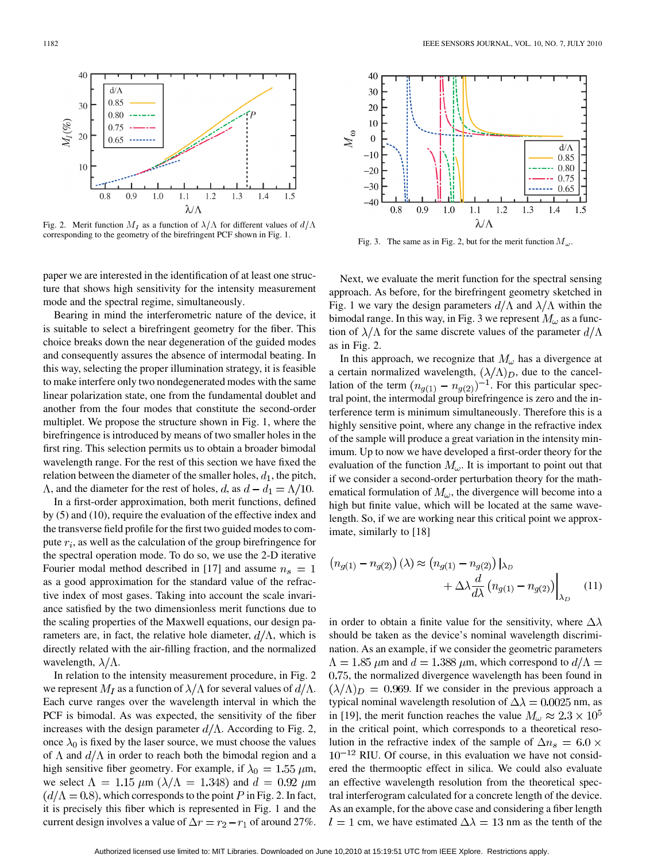

Fig. 2. Merit function  $M_I$  as a function of  $\lambda/\Lambda$  for different values of  $d/\Lambda$ corresponding to the geometry of the birefringent PCF shown in Fig. 1.

paper we are interested in the identification of at least one structure that shows high sensitivity for the intensity measurement mode and the spectral regime, simultaneously.

Bearing in mind the interferometric nature of the device, it is suitable to select a birefringent geometry for the fiber. This choice breaks down the near degeneration of the guided modes and consequently assures the absence of intermodal beating. In this way, selecting the proper illumination strategy, it is feasible to make interfere only two nondegenerated modes with the same linear polarization state, one from the fundamental doublet and another from the four modes that constitute the second-order multiplet. We propose the structure shown in Fig. 1, where the birefringence is introduced by means of two smaller holes in the first ring. This selection permits us to obtain a broader bimodal wavelength range. For the rest of this section we have fixed the relation between the diameter of the smaller holes,  $d_1$ , the pitch,  $\Lambda$ , and the diameter for the rest of holes, d, as  $d - d_1 = \Lambda/10$ .

In a first-order approximation, both merit functions, defined by (5) and (10), require the evaluation of the effective index and the transverse field profile for the first two guided modes to compute  $r_i$ , as well as the calculation of the group birefringence for the spectral operation mode. To do so, we use the 2-D iterative Fourier modal method described in [17] and assume  $n_s = 1$ as a good approximation for the standard value of the refractive index of most gases. Taking into account the scale invariance satisfied by the two dimensionless merit functions due to the scaling properties of the Maxwell equations, our design parameters are, in fact, the relative hole diameter,  $d/\Lambda$ , which is directly related with the air-filling fraction, and the normalized wavelength,  $\lambda/\Lambda$ .

In relation to the intensity measurement procedure, in Fig. 2 we represent  $M_I$  as a function of  $\lambda/\Lambda$  for several values of  $d/\Lambda$ . Each curve ranges over the wavelength interval in which the PCF is bimodal. As was expected, the sensitivity of the fiber increases with the design parameter  $d/\Lambda$ . According to Fig. 2, once  $\lambda_0$  is fixed by the laser source, we must choose the values of  $\Lambda$  and  $d/\Lambda$  in order to reach both the bimodal region and a high sensitive fiber geometry. For example, if  $\lambda_0 = 1.55 \ \mu \text{m}$ , we select  $\Lambda = 1.15 \mu m \left( \frac{\lambda}{\Lambda} = 1.348 \right)$  and  $d = 0.92 \mu m$  $(d/\Lambda = 0.8)$ , which corresponds to the point P in Fig. 2. In fact, it is precisely this fiber which is represented in Fig. 1 and the current design involves a value of  $\Delta r = r_2 - r_1$  of around 27%.



Fig. 3. The same as in Fig. 2, but for the merit function  $M_{\omega}$ .

Next, we evaluate the merit function for the spectral sensing approach. As before, for the birefringent geometry sketched in Fig. 1 we vary the design parameters  $d/\Lambda$  and  $\lambda/\Lambda$  within the bimodal range. In this way, in Fig. 3 we represent  $M_{\omega}$  as a function of  $\lambda/\Lambda$  for the same discrete values of the parameter  $d/\Lambda$ as in Fig. 2.

In this approach, we recognize that  $M_{\omega}$  has a divergence at a certain normalized wavelength,  $(\lambda/\Lambda)_{D}$ , due to the cancellation of the term  $(n_{q(1)} - n_{q(2)})^{-1}$ . For this particular spectral point, the intermodal group birefringence is zero and the interference term is minimum simultaneously. Therefore this is a highly sensitive point, where any change in the refractive index of the sample will produce a great variation in the intensity minimum. Up to now we have developed a first-order theory for the evaluation of the function  $M_{\omega}$ . It is important to point out that if we consider a second-order perturbation theory for the mathematical formulation of  $M_{\omega}$ , the divergence will become into a high but finite value, which will be located at the same wavelength. So, if we are working near this critical point we approximate, similarly to [18]

$$
(n_{g(1)} - n_{g(2)}) (\lambda) \approx (n_{g(1)} - n_{g(2)}) \Big|_{\lambda_D}
$$

$$
+ \Delta \lambda \frac{d}{d\lambda} (n_{g(1)} - n_{g(2)}) \Big|_{\lambda_D} \tag{11}
$$

in order to obtain a finite value for the sensitivity, where  $\Delta\lambda$ should be taken as the device's nominal wavelength discrimination. As an example, if we consider the geometric parameters  $\Lambda = 1.85$   $\mu$ m and  $d = 1.388$   $\mu$ m, which correspond to  $d/\Lambda =$ 0.75, the normalized divergence wavelength has been found in  $(\lambda/\Lambda)_{D} = 0.969$ . If we consider in the previous approach a typical nominal wavelength resolution of  $\Delta \lambda = 0.0025$  nm, as in [19], the merit function reaches the value  $M_{\omega} \approx 2.3 \times 10^5$ in the critical point, which corresponds to a theoretical resolution in the refractive index of the sample of  $\Delta n_s = 6.0 \times$  $10^{-12}$  RIU. Of course, in this evaluation we have not considered the thermooptic effect in silica. We could also evaluate an effective wavelength resolution from the theoretical spectral interferogram calculated for a concrete length of the device. As an example, for the above case and considering a fiber length  $l = 1$  cm, we have estimated  $\Delta \lambda = 13$  nm as the tenth of the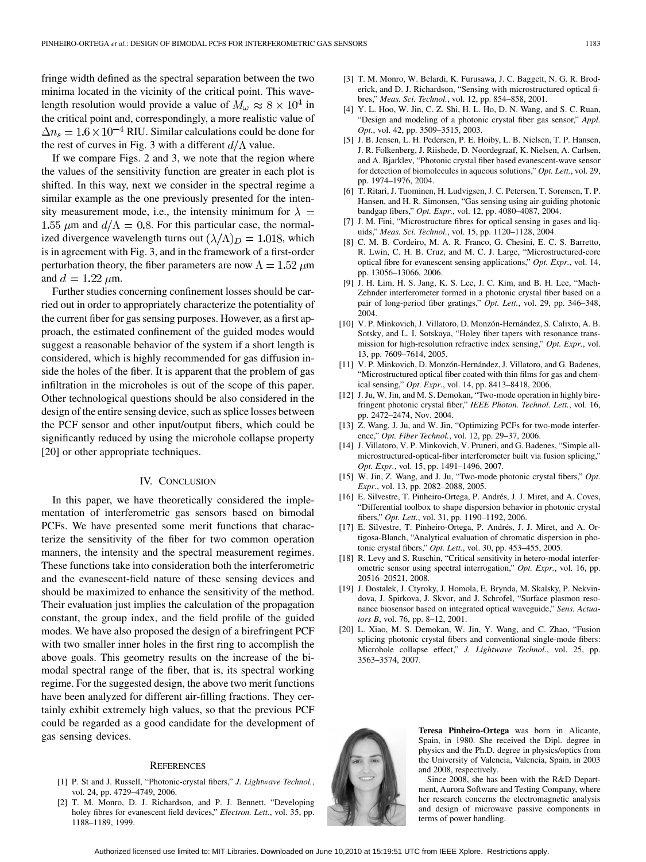fringe width defined as the spectral separation between the two minima located in the vicinity of the critical point. This wavelength resolution would provide a value of  $M_{\omega} \approx 8 \times 10^{4}$  in the critical point and, correspondingly, a more realistic value of  $\Delta n_s = 1.6 \times 10^{-4}$  RIU. Similar calculations could be done for the rest of curves in Fig. 3 with a different  $d/\Lambda$  value.

If we compare Figs. 2 and 3, we note that the region where the values of the sensitivity function are greater in each plot is shifted. In this way, next we consider in the spectral regime a similar example as the one previously presented for the intensity measurement mode, i.e., the intensity minimum for  $\lambda =$ 1.55  $\mu$ m and  $d/\Lambda = 0.8$ . For this particular case, the normalized divergence wavelength turns out  $(\lambda/\Lambda)_{D} = 1.018$ , which is in agreement with Fig. 3, and in the framework of a first-order perturbation theory, the fiber parameters are now  $\Lambda = 1.52 \ \mu m$ and  $d = 1.22 \mu m$ .

Further studies concerning confinement losses should be carried out in order to appropriately characterize the potentiality of the current fiber for gas sensing purposes. However, as a first approach, the estimated confinement of the guided modes would suggest a reasonable behavior of the system if a short length is considered, which is highly recommended for gas diffusion inside the holes of the fiber. It is apparent that the problem of gas infiltration in the microholes is out of the scope of this paper. Other technological questions should be also considered in the design of the entire sensing device, such as splice losses between the PCF sensor and other input/output fibers, which could be significantly reduced by using the microhole collapse property [20] or other appropriate techniques.

#### IV. CONCLUSION

In this paper, we have theoretically considered the implementation of interferometric gas sensors based on bimodal PCFs. We have presented some merit functions that characterize the sensitivity of the fiber for two common operation manners, the intensity and the spectral measurement regimes. These functions take into consideration both the interferometric and the evanescent-field nature of these sensing devices and should be maximized to enhance the sensitivity of the method. Their evaluation just implies the calculation of the propagation constant, the group index, and the field profile of the guided modes. We have also proposed the design of a birefringent PCF with two smaller inner holes in the first ring to accomplish the above goals. This geometry results on the increase of the bimodal spectral range of the fiber, that is, its spectral working regime. For the suggested design, the above two merit functions have been analyzed for different air-filling fractions. They certainly exhibit extremely high values, so that the previous PCF could be regarded as a good candidate for the development of gas sensing devices.

#### **REFERENCES**

- [1] P. St and J. Russell, "Photonic-crystal fibers," *J. Lightwave Technol.*, vol. 24, pp. 4729–4749, 2006.
- [2] T. M. Monro, D. J. Richardson, and P. J. Bennett, "Developing holey fibres for evanescent field devices," *Electron. Lett.*, vol. 35, pp. 1188–1189, 1999.
- [3] T. M. Monro, W. Belardi, K. Furusawa, J. C. Baggett, N. G. R. Broderick, and D. J. Richardson, "Sensing with microstructured optical fibres," *Meas. Sci. Technol.*, vol. 12, pp. 854–858, 2001.
- [4] Y. L. Hoo, W. Jin, C. Z. Shi, H. L. Ho, D. N. Wang, and S. C. Ruan, "Design and modeling of a photonic crystal fiber gas sensor," *Appl. Opt.*, vol. 42, pp. 3509–3515, 2003.
- [5] J. B. Jensen, L. H. Pedersen, P. E. Hoiby, L. B. Nielsen, T. P. Hansen, J. R. Folkenberg, J. Riishede, D. Noordegraaf, K. Nielsen, A. Carlsen, and A. Bjarklev, "Photonic crystal fiber based evanescent-wave sensor for detection of biomolecules in aqueous solutions," *Opt. Lett.*, vol. 29, pp. 1974–1976, 2004.
- [6] T. Ritari, J. Tuominen, H. Ludvigsen, J. C. Petersen, T. Sorensen, T. P. Hansen, and H. R. Simonsen, "Gas sensing using air-guiding photonic bandgap fibers," *Opt. Expr.*, vol. 12, pp. 4080–4087, 2004.
- [7] J. M. Fini, "Microstructure fibres for optical sensing in gases and liquids," *Meas. Sci. Technol.*, vol. 15, pp. 1120–1128, 2004.
- [8] C. M. B. Cordeiro, M. A. R. Franco, G. Chesini, E. C. S. Barretto, R. Lwin, C. H. B. Cruz, and M. C. J. Large, "Microstructured-core optical fibre for evanescent sensing applications," *Opt. Expr.*, vol. 14, pp. 13056–13066, 2006.
- [9] J. H. Lim, H. S. Jang, K. S. Lee, J. C. Kim, and B. H. Lee, "Mach-Zehnder interferometer formed in a photonic crystal fiber based on a pair of long-period fiber gratings," *Opt. Lett.*, vol. 29, pp. 346–348, 2004.
- [10] V. P. Minkovich, J. Villatoro, D. Monzón-Hernández, S. Calixto, A. B. Sotsky, and L. I. Sotskaya, "Holey fiber tapers with resonance transmission for high-resolution refractive index sensing," *Opt. Expr.*, vol. 13, pp. 7609–7614, 2005.
- [11] V. P. Minkovich, D. Monzón-Hernández, J. Villatoro, and G. Badenes, "Microstructured optical fiber coated with thin films for gas and chemical sensing," *Opt. Expr.*, vol. 14, pp. 8413–8418, 2006.
- [12] J. Ju, W. Jin, and M. S. Demokan, "Two-mode operation in highly birefringent photonic crystal fiber," *IEEE Photon. Technol. Lett.*, vol. 16, pp. 2472–2474, Nov. 2004.
- [13] Z. Wang, J. Ju, and W. Jin, "Optimizing PCFs for two-mode interference," *Opt. Fiber Technol.*, vol. 12, pp. 29–37, 2006.
- [14] J. Villatoro, V. P. Minkovich, V. Pruneri, and G. Badenes, "Simple allmicrostructured-optical-fiber interferometer built via fusion splicing," *Opt. Expr.*, vol. 15, pp. 1491–1496, 2007.
- [15] W. Jin, Z. Wang, and J. Ju, "Two-mode photonic crystal fibers," *Opt. Expr.*, vol. 13, pp. 2082–2088, 2005.
- [16] E. Silvestre, T. Pinheiro-Ortega, P. Andrés, J. J. Miret, and A. Coves, "Differential toolbox to shape dispersion behavior in photonic crystal fibers," *Opt. Lett.*, vol. 31, pp. 1190–1192, 2006.
- [17] E. Silvestre, T. Pinheiro-Ortega, P. Andrés, J. J. Miret, and A. Ortigosa-Blanch, "Analytical evaluation of chromatic dispersion in photonic crystal fibers," *Opt. Lett.*, vol. 30, pp. 453–455, 2005.
- [18] R. Levy and S. Ruschin, "Critical sensitivity in hetero-modal interferometric sensor using spectral interrogation," *Opt. Expr.*, vol. 16, pp. 20516–20521, 2008.
- [19] J. Dostalek, J. Ctyroky, J. Homola, E. Brynda, M. Skalsky, P. Nekvindova, J. Spirkova, J. Skvor, and J. Schrofel, "Surface plasmon resonance biosensor based on integrated optical waveguide," *Sens. Actuators B*, vol. 76, pp. 8–12, 2001.
- [20] L. Xiao, M. S. Demokan, W. Jin, Y. Wang, and C. Zhao, "Fusion splicing photonic crystal fibers and conventional single-mode fibers: Microhole collapse effect," *J. Lightwave Technol.*, vol. 25, pp. 3563–3574, 2007.



**Teresa Pinheiro-Ortega** was born in Alicante, Spain, in 1980. She received the Dipl. degree in physics and the Ph.D. degree in physics/optics from the University of Valencia, Valencia, Spain, in 2003 and 2008, respectively.

Since 2008, she has been with the R&D Department, Aurora Software and Testing Company, where her research concerns the electromagnetic analysis and design of microwave passive components in terms of power handling.